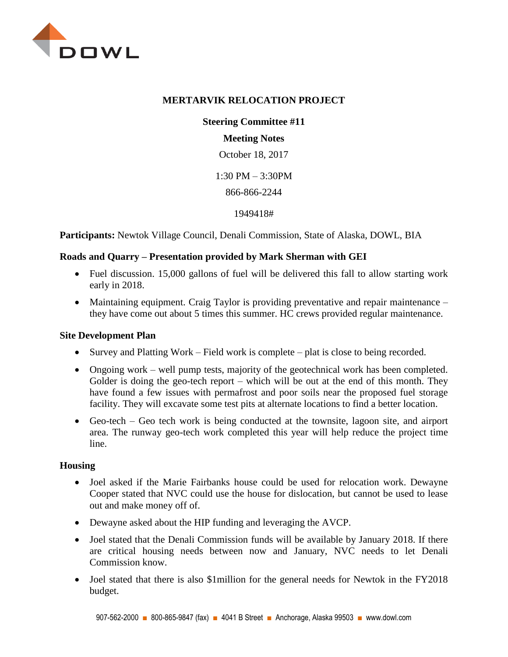

### **MERTARVIK RELOCATION PROJECT**

**Steering Committee #11**

# **Meeting Notes**

October 18, 2017

1:30 PM – 3:30PM

866-866-2244

1949418#

**Participants:** Newtok Village Council, Denali Commission, State of Alaska, DOWL, BIA

## **Roads and Quarry – Presentation provided by Mark Sherman with GEI**

- Fuel discussion. 15,000 gallons of fuel will be delivered this fall to allow starting work early in 2018.
- Maintaining equipment. Craig Taylor is providing preventative and repair maintenance they have come out about 5 times this summer. HC crews provided regular maintenance.

## **Site Development Plan**

- Survey and Platting Work Field work is complete plat is close to being recorded.
- Ongoing work well pump tests, majority of the geotechnical work has been completed. Golder is doing the geo-tech report – which will be out at the end of this month. They have found a few issues with permafrost and poor soils near the proposed fuel storage facility. They will excavate some test pits at alternate locations to find a better location.
- Geo-tech Geo tech work is being conducted at the townsite, lagoon site, and airport area. The runway geo-tech work completed this year will help reduce the project time line.

## **Housing**

- Joel asked if the Marie Fairbanks house could be used for relocation work. Dewayne Cooper stated that NVC could use the house for dislocation, but cannot be used to lease out and make money off of.
- Dewayne asked about the HIP funding and leveraging the AVCP.
- Joel stated that the Denali Commission funds will be available by January 2018. If there are critical housing needs between now and January, NVC needs to let Denali Commission know.
- Joel stated that there is also \$1 million for the general needs for Newtok in the FY2018 budget.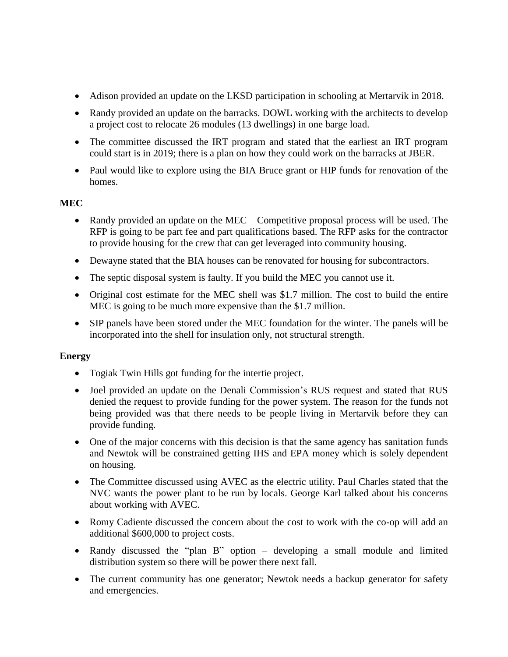- Adison provided an update on the LKSD participation in schooling at Mertarvik in 2018.
- Randy provided an update on the barracks. DOWL working with the architects to develop a project cost to relocate 26 modules (13 dwellings) in one barge load.
- The committee discussed the IRT program and stated that the earliest an IRT program could start is in 2019; there is a plan on how they could work on the barracks at JBER.
- Paul would like to explore using the BIA Bruce grant or HIP funds for renovation of the homes.

## **MEC**

- Randy provided an update on the MEC Competitive proposal process will be used. The RFP is going to be part fee and part qualifications based. The RFP asks for the contractor to provide housing for the crew that can get leveraged into community housing.
- Dewayne stated that the BIA houses can be renovated for housing for subcontractors.
- The septic disposal system is faulty. If you build the MEC you cannot use it.
- Original cost estimate for the MEC shell was \$1.7 million. The cost to build the entire MEC is going to be much more expensive than the \$1.7 million.
- SIP panels have been stored under the MEC foundation for the winter. The panels will be incorporated into the shell for insulation only, not structural strength.

## **Energy**

- Togiak Twin Hills got funding for the intertie project.
- Joel provided an update on the Denali Commission's RUS request and stated that RUS denied the request to provide funding for the power system. The reason for the funds not being provided was that there needs to be people living in Mertarvik before they can provide funding.
- One of the major concerns with this decision is that the same agency has sanitation funds and Newtok will be constrained getting IHS and EPA money which is solely dependent on housing.
- The Committee discussed using AVEC as the electric utility. Paul Charles stated that the NVC wants the power plant to be run by locals. George Karl talked about his concerns about working with AVEC.
- Romy Cadiente discussed the concern about the cost to work with the co-op will add an additional \$600,000 to project costs.
- Randy discussed the "plan B" option developing a small module and limited distribution system so there will be power there next fall.
- The current community has one generator; Newtok needs a backup generator for safety and emergencies.